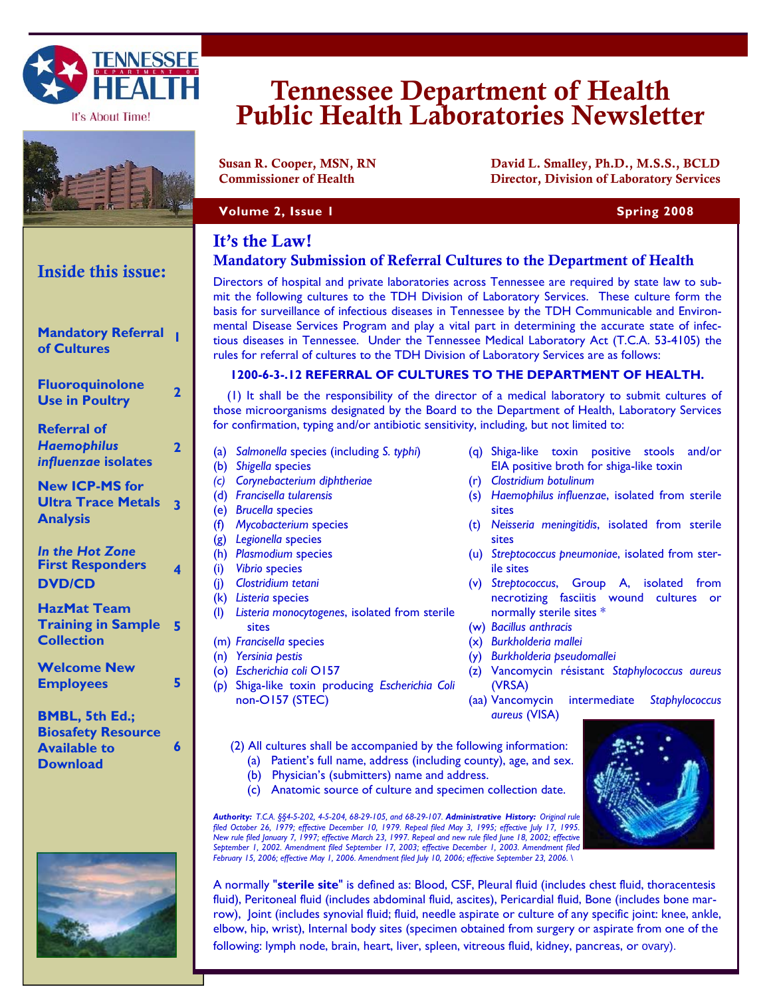

It's About Time!



Inside this issue: **NASHVILLE, TN 3724** 

**Mandatory Referral** 

**of Cultures** 

**Referral of**  *Haemophilus influenzae* **isolates** 

**Analysis** 

**Fluoroquinolone Use in Poultry <sup>2</sup>**

**New ICP-MS for** 

**Ultra Trace Metals 3** 

# Tennessee Department of Health Public Health Laboratories Newsletter

Susan R. Cooper, MSN, RN David L. Smalley, Ph.D., M.S.S., BCLD Commissioner of Health Director, Division of Laboratory Services

## **Volume 2, Issue 1 Spring 2008 Spring 2008**

## It's the Law!

# Mandatory Submission of Referral Cultures to the Department of Health

Directors of hospital and private laboratories across Tennessee are required by state law to submit the following cultures to the TDH Division of Laboratory Services. These culture form the basis for surveillance of infectious diseases in Tennessee by the TDH Communicable and Environmental Disease Services Program and play a vital part in determining the accurate state of infectious diseases in Tennessee. Under the Tennessee Medical Laboratory Act (T.C.A. 53-4105) the rules for referral of cultures to the TDH Division of Laboratory Services are as follows:

## **1200-6-3-.12 REFERRAL OF CULTURES TO THE DEPARTMENT OF HEALTH.**

 (1) It shall be the responsibility of the director of a medical laboratory to submit cultures of those microorganisms designated by the Board to the Department of Health, Laboratory Services for confirmation, typing and/or antibiotic sensitivity, including, but not limited to:

- (a) *Salmonella* species (including *S. typhi*)
- (b) *Shigella* species

**2** 

- *(c) Corynebacterium diphtheriae*
- (d) *Francisella tularensis*
- (e) *Brucella* species
- (f) *Mycobacterium* species
- (g) *Legionella* species
- (h) *Plasmodium* species
- (i) *Vibrio* species
- (j) *Clostridium tetani*
- (k) *Listeria* species
- (l) *Listeria monocytogenes*, isolated from sterile sites
- (m) *Francisella* species
- (n) *Yersinia pestis*
- (o) *Escherichia coli* O157
- (p) Shiga-like toxin producing *Escherichia Coli*  non-O157 (STEC)
- (q) Shiga-like toxin positive stools and/or EIA positive broth for shiga-like toxin
- (r) *Clostridium botulinum*
- (s) *Haemophilus influenzae*, isolated from sterile sites
- (t) *Neisseria meningitidis*, isolated from sterile sites
- (u) *Streptococcus pneumoniae*, isolated from sterile sites
- (v) *Streptococcus*, Group A, isolated from necrotizing fasciitis wound cultures or normally sterile sites \*
- (w) *Bacillus anthracis*
- (x) *Burkholderia mallei*
- (y) *Burkholderia pseudomallei*
- (z) Vancomycin résistant *Staphylococcus aureus*  (VRSA)
- (aa) Vancomycin intermediate *Staphylococcus aureus* (VISA)
- (2) All cultures shall be accompanied by the following information: (a) Patient's full name, address (including county), age, and sex.
	-
	- (b) Physician's (submitters) name and address.
	- (c) Anatomic source of culture and specimen collection date.

*Authority: T.C.A. §§4-5-202, 4-5-204, 68-29-105, and 68-29-107. Administrative History: Original rule filed October 26, 1979; effective December 10, 1979. Repeal filed May 3, 1995; effective July 17, 1995. New rule filed January 7, 1997; effective March 23, 1997. Repeal and new rule filed June 18, 2002; effective September 1, 2002. Amendment filed September 17, 2003; effective December 1, 2003. Amendment filed February 15, 2006; effective May 1, 2006. Amendment filed July 10, 2006; effective September 23, 2006. \* 

A normally "**sterile site**" is defined as: Blood, CSF, Pleural fluid (includes chest fluid, thoracentesis fluid), Peritoneal fluid (includes abdominal fluid, ascites), Pericardial fluid, Bone (includes bone marrow), Joint (includes synovial fluid; fluid, needle aspirate or culture of any specific joint: knee, ankle, elbow, hip, wrist), Internal body sites (specimen obtained from surgery or aspirate from one of the following: lymph node, brain, heart, liver, spleen, vitreous fluid, kidney, pancreas, or ovary).

| In the Hot Zone<br><b>First Responders</b><br><b>DVD/CD</b>                                  |   |
|----------------------------------------------------------------------------------------------|---|
| <b>HazMat Team</b><br><b>Training in Sample</b><br><b>Collection</b>                         | 5 |
| <b>Welcome New</b><br><b>Employees</b>                                                       | 5 |
| <b>BMBL, 5th Ed.;</b><br><b>Biosafety Resource</b><br><b>Available to</b><br><b>Download</b> | Á |





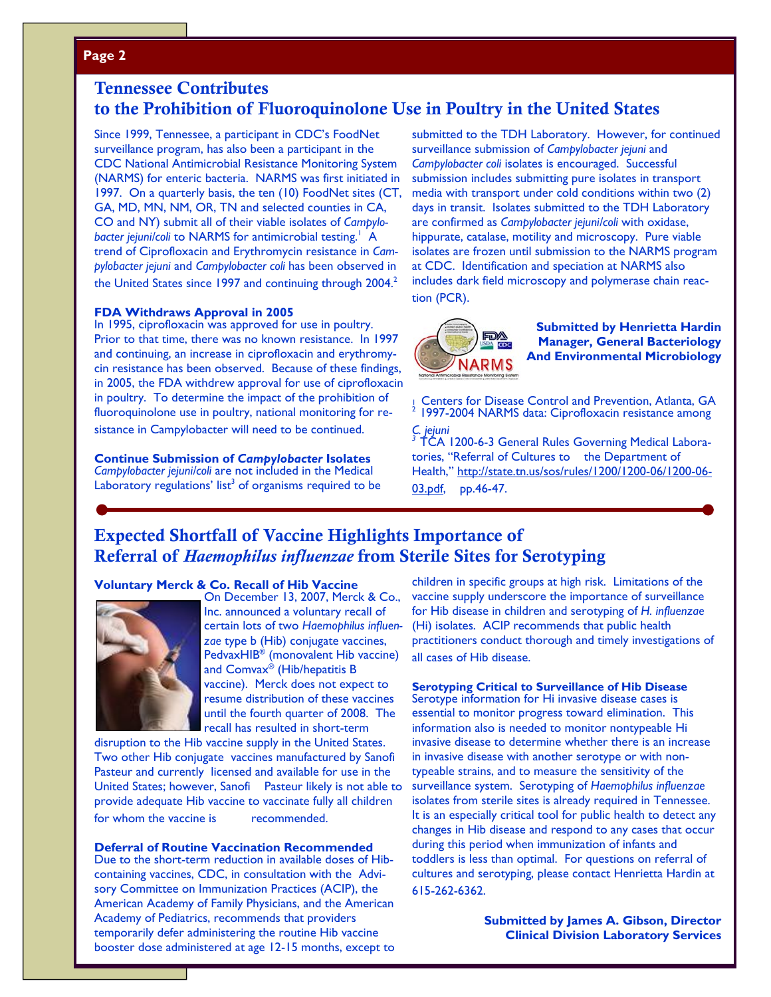## **Page 2**

## Tennessee Contributes to the Prohibition of Fluoroquinolone Use in Poultry in the United States

Since 1999, Tennessee, a participant in CDC's FoodNet surveillance program, has also been a participant in the CDC National Antimicrobial Resistance Monitoring System (NARMS) for enteric bacteria. NARMS was first initiated in 1997. On a quarterly basis, the ten (10) FoodNet sites (CT, GA, MD, MN, NM, OR, TN and selected counties in CA, CO and NY) submit all of their viable isolates of *Campylo*bacter jejuni/coli to NARMS for antimicrobial testing.<sup>1</sup> A trend of Ciprofloxacin and Erythromycin resistance in *Campylobacter jejuni* and *Campylobacter coli* has been observed in the United States since 1997 and continuing through 2004.<sup>2</sup>

### **FDA Withdraws Approval in 2005**

In 1995, ciprofloxacin was approved for use in poultry. Prior to that time, there was no known resistance. In 1997 and continuing, an increase in ciprofloxacin and erythromycin resistance has been observed. Because of these findings, in 2005, the FDA withdrew approval for use of ciprofloxacin in poultry. To determine the impact of the prohibition of fluoroquinolone use in poultry, national monitoring for resistance in Campylobacter will need to be continued.

#### **Continue Submission of** *Campylobacter* **Isolates**

*Campylobacter jejuni/coli* are not included in the Medical Laboratory regulations' list<sup>3</sup> of organisms required to be submitted to the TDH Laboratory. However, for continued surveillance submission of *Campylobacter jejuni* and *Campylobacter coli* isolates is encouraged. Successful submission includes submitting pure isolates in transport media with transport under cold conditions within two (2) days in transit. Isolates submitted to the TDH Laboratory are confirmed as *Campylobacter jejuni/coli* with oxidase, hippurate, catalase, motility and microscopy. Pure viable isolates are frozen until submission to the NARMS program at CDC. Identification and speciation at NARMS also includes dark field microscopy and polymerase chain reaction (PCR).



**Submitted by Henrietta Hardin Manager, General Bacteriology And Environmental Microbiology** 

Centers for Disease Control and Prevention, Atlanta, GA 1997-2004 NARMS data: Ciprofloxacin resistance among

*C. jejuni 3* TCA 1200-6-3 General Rules Governing Medical Laboratories, "Referral of Cultures to the Department of Health," http://state.tn.us/sos/rules/1200/1200-06/1200-06- 03.pdf, pp.46-47.

## Expected Shortfall of Vaccine Highlights Importance of Referral of *Haemophilus influenzae* from Sterile Sites for Serotyping

#### **Voluntary Merck & Co. Recall of Hib Vaccine**



On December 13, 2007, Merck & Co., Inc. announced a voluntary recall of certain lots of two *Haemophilus influenzae* type b (Hib) conjugate vaccines, PedvaxHIB® (monovalent Hib vaccine) and  $\mathsf{Comvax}^\circledast$  (Hib/hepatitis B vaccine). Merck does not expect to resume distribution of these vaccines until the fourth quarter of 2008. The recall has resulted in short-term

disruption to the Hib vaccine supply in the United States. Two other Hib conjugate vaccines manufactured by Sanofi Pasteur and currently licensed and available for use in the United States; however, Sanofi Pasteur likely is not able to provide adequate Hib vaccine to vaccinate fully all children for whom the vaccine is recommended.

#### **Deferral of Routine Vaccination Recommended**

Due to the short-term reduction in available doses of Hibcontaining vaccines, CDC, in consultation with the Advisory Committee on Immunization Practices (ACIP), the American Academy of Family Physicians, and the American Academy of Pediatrics, recommends that providers temporarily defer administering the routine Hib vaccine booster dose administered at age 12-15 months, except to

children in specific groups at high risk. Limitations of the vaccine supply underscore the importance of surveillance for Hib disease in children and serotyping of *H. influenzae* (Hi) isolates. ACIP recommends that public health practitioners conduct thorough and timely investigations of all cases of Hib disease.

## **Serotyping Critical to Surveillance of Hib Disease**

Serotype information for Hi invasive disease cases is essential to monitor progress toward elimination. This information also is needed to monitor nontypeable Hi invasive disease to determine whether there is an increase in invasive disease with another serotype or with nontypeable strains, and to measure the sensitivity of the surveillance system. Serotyping of *Haemophilus influenzae* isolates from sterile sites is already required in Tennessee. It is an especially critical tool for public health to detect any changes in Hib disease and respond to any cases that occur during this period when immunization of infants and toddlers is less than optimal. For questions on referral of cultures and serotyping, please contact Henrietta Hardin at 615-262-6362.

> **Submitted by James A. Gibson, Director Clinical Division Laboratory Services**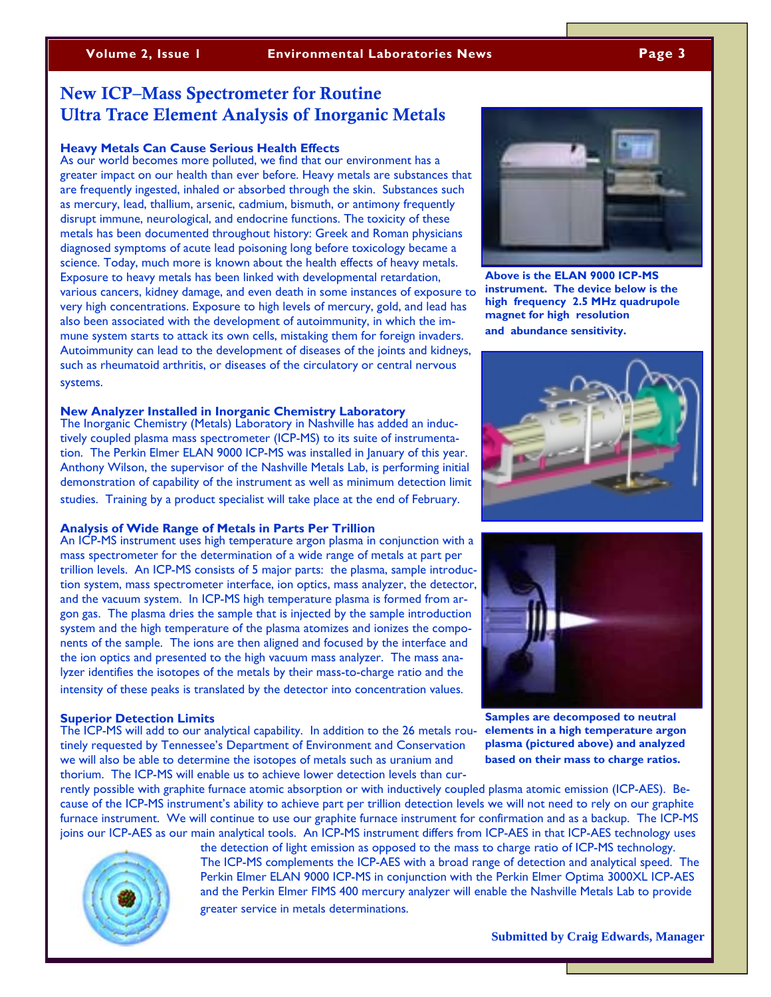## New ICP–Mass Spectrometer for Routine Ultra Trace Element Analysis of Inorganic Metals

#### **Heavy Metals Can Cause Serious Health Effects**

As our world becomes more polluted, we find that our environment has a greater impact on our health than ever before. Heavy metals are substances that are frequently ingested, inhaled or absorbed through the skin. Substances such as mercury, lead, thallium, arsenic, cadmium, bismuth, or antimony frequently disrupt immune, neurological, and endocrine functions. The toxicity of these metals has been documented throughout history: Greek and Roman physicians diagnosed symptoms of acute lead poisoning long before toxicology became a science. Today, much more is known about the health effects of heavy metals. Exposure to heavy metals has been linked with developmental retardation, various cancers, kidney damage, and even death in some instances of exposure to very high concentrations. Exposure to high levels of mercury, gold, and lead has also been associated with the development of autoimmunity, in which the immune system starts to attack its own cells, mistaking them for foreign invaders. Autoimmunity can lead to the development of diseases of the joints and kidneys, such as rheumatoid arthritis, or diseases of the circulatory or central nervous systems.

#### **New Analyzer Installed in Inorganic Chemistry Laboratory**

The Inorganic Chemistry (Metals) Laboratory in Nashville has added an inductively coupled plasma mass spectrometer (ICP-MS) to its suite of instrumentation. The Perkin Elmer ELAN 9000 ICP-MS was installed in January of this year. Anthony Wilson, the supervisor of the Nashville Metals Lab, is performing initial demonstration of capability of the instrument as well as minimum detection limit studies. Training by a product specialist will take place at the end of February.

## **Analysis of Wide Range of Metals in Parts Per Trillion**

An ICP-MS instrument uses high temperature argon plasma in conjunction with a mass spectrometer for the determination of a wide range of metals at part per trillion levels. An ICP-MS consists of 5 major parts: the plasma, sample introduction system, mass spectrometer interface, ion optics, mass analyzer, the detector, and the vacuum system. In ICP-MS high temperature plasma is formed from argon gas. The plasma dries the sample that is injected by the sample introduction system and the high temperature of the plasma atomizes and ionizes the components of the sample. The ions are then aligned and focused by the interface and the ion optics and presented to the high vacuum mass analyzer. The mass analyzer identifies the isotopes of the metals by their mass-to-charge ratio and the intensity of these peaks is translated by the detector into concentration values.

#### **Superior Detection Limits**

The ICP-MS will add to our analytical capability. In addition to the 26 metals routinely requested by Tennessee's Department of Environment and Conservation we will also be able to determine the isotopes of metals such as uranium and thorium. The ICP-MS will enable us to achieve lower detection levels than cur-

rently possible with graphite furnace atomic absorption or with inductively coupled plasma atomic emission (ICP-AES). Because of the ICP-MS instrument's ability to achieve part per trillion detection levels we will not need to rely on our graphite furnace instrument. We will continue to use our graphite furnace instrument for confirmation and as a backup. The ICP-MS joins our ICP-AES as our main analytical tools. An ICP-MS instrument differs from ICP-AES in that ICP-AES technology uses



the detection of light emission as opposed to the mass to charge ratio of ICP-MS technology. The ICP-MS complements the ICP-AES with a broad range of detection and analytical speed. The Perkin Elmer ELAN 9000 ICP-MS in conjunction with the Perkin Elmer Optima 3000XL ICP-AES and the Perkin Elmer FIMS 400 mercury analyzer will enable the Nashville Metals Lab to provide greater service in metals determinations.



**Above is the ELAN 9000 ICP-MS instrument. The device below is the high frequency 2.5 MHz quadrupole magnet for high resolution and abundance sensitivity.**





**Samples are decomposed to neutral elements in a high temperature argon plasma (pictured above) and analyzed based on their mass to charge ratios.**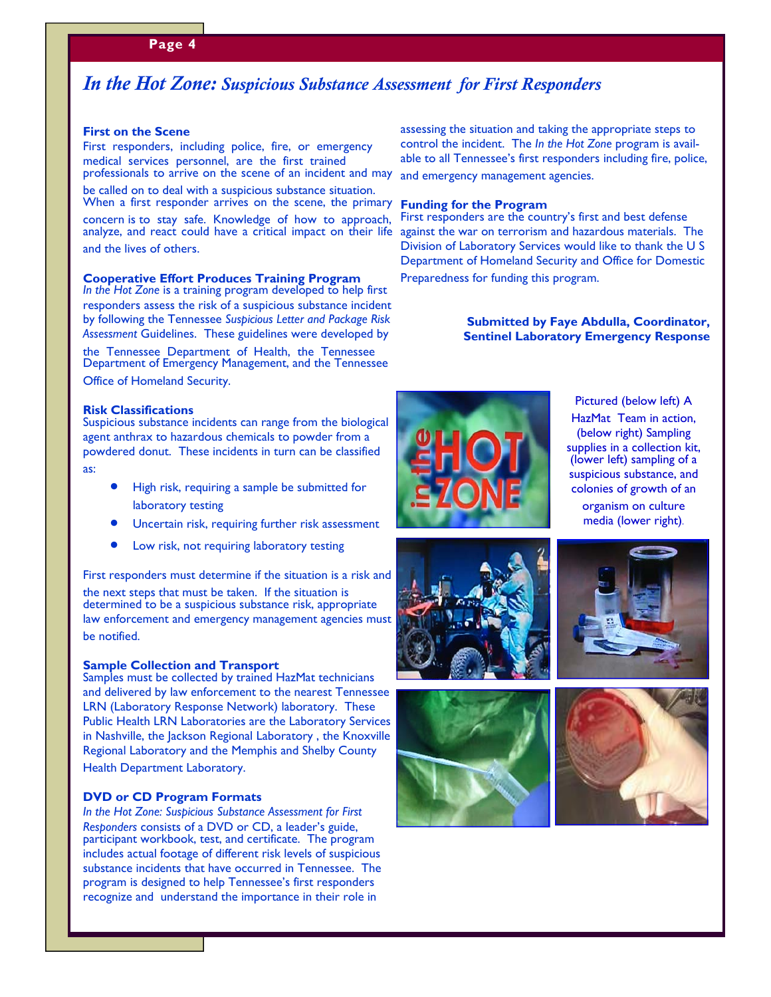## *In the Hot Zone: Suspicious Substance Assessment for First Responders*

#### **First on the Scene**

First responders, including police, fire, or emergency medical services personnel, are the first trained professionals to arrive on the scene of an incident and may

be called on to deal with a suspicious substance situation.

concern is to stay safe. Knowledge of how to approach, analyze, and react could have a critical impact on their life and the lives of others.

#### **Cooperative Effort Produces Training Program**

*In the Hot Zone* is a training program developed to help first responders assess the risk of a suspicious substance incident by following the Tennessee *Suspicious Letter and Package Risk Assessment* Guidelines. These guidelines were developed by

the Tennessee Department of Health, the Tennessee Department of Emergency Management, and the Tennessee Office of Homeland Security.

#### **Risk Classifications**

Suspicious substance incidents can range from the biological agent anthrax to hazardous chemicals to powder from a powdered donut. These incidents in turn can be classified

as:

- High risk, requiring a sample be submitted for laboratory testing
- Uncertain risk, requiring further risk assessment
- Low risk, not requiring laboratory testing

First responders must determine if the situation is a risk and

the next steps that must be taken. If the situation is determined to be a suspicious substance risk, appropriate law enforcement and emergency management agencies must be notified.

#### **Sample Collection and Transport**

Samples must be collected by trained HazMat technicians and delivered by law enforcement to the nearest Tennessee LRN (Laboratory Response Network) laboratory. These Public Health LRN Laboratories are the Laboratory Services in Nashville, the Jackson Regional Laboratory, the Knoxville Regional Laboratory and the Memphis and Shelby County Health Department Laboratory.

#### **DVD or CD Program Formats**

*In the Hot Zone: Suspicious Substance Assessment for First Responders* consists of a DVD or CD, a leader's guide, participant workbook, test, and certificate. The program includes actual footage of different risk levels of suspicious substance incidents that have occurred in Tennessee. The program is designed to help Tennessee's first responders recognize and understand the importance in their role in

assessing the situation and taking the appropriate steps to control the incident. The *In the Hot Zone* program is available to all Tennessee's first responders including fire, police, and emergency management agencies.

### When a first responder arrives on the scene, the primary **Funding for the Program**

First responders are the country's first and best defense against the war on terrorism and hazardous materials. The Division of Laboratory Services would like to thank the U S Department of Homeland Security and Office for Domestic

Preparedness for funding this program.

#### **Submitted by Faye Abdulla, Coordinator, Sentinel Laboratory Emergency Response**



Pictured (below left) A HazMat Team in action, (below right) Sampling supplies in a collection kit, (lower left) sampling of a suspicious substance, and colonies of growth of an organism on culture media (lower right).







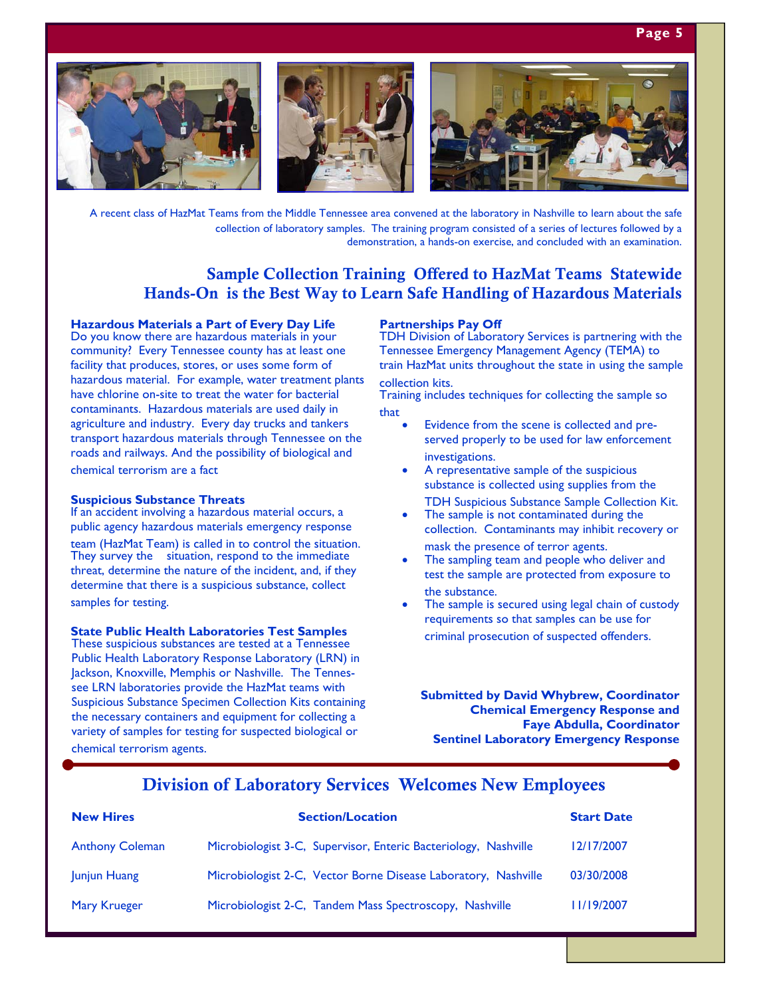## **Page 5**



A recent class of HazMat Teams from the Middle Tennessee area convened at the laboratory in Nashville to learn about the safe collection of laboratory samples. The training program consisted of a series of lectures followed by a demonstration, a hands-on exercise, and concluded with an examination.

## Sample Collection Training Offered to HazMat Teams Statewide Hands-On is the Best Way to Learn Safe Handling of Hazardous Materials

## **Hazardous Materials a Part of Every Day Life**

Do you know there are hazardous materials in your community? Every Tennessee county has at least one facility that produces, stores, or uses some form of hazardous material. For example, water treatment plants have chlorine on-site to treat the water for bacterial contaminants. Hazardous materials are used daily in agriculture and industry. Every day trucks and tankers transport hazardous materials through Tennessee on the roads and railways. And the possibility of biological and chemical terrorism are a fact

#### **Suspicious Substance Threats**

If an accident involving a hazardous material occurs, a public agency hazardous materials emergency response team (HazMat Team) is called in to control the situation. They survey the situation, respond to the immediate threat, determine the nature of the incident, and, if they determine that there is a suspicious substance, collect samples for testing.

#### **State Public Health Laboratories Test Samples**

These suspicious substances are tested at a Tennessee Public Health Laboratory Response Laboratory (LRN) in Jackson, Knoxville, Memphis or Nashville. The Tennessee LRN laboratories provide the HazMat teams with Suspicious Substance Specimen Collection Kits containing the necessary containers and equipment for collecting a variety of samples for testing for suspected biological or chemical terrorism agents.

#### **Partnerships Pay Off**

TDH Division of Laboratory Services is partnering with the Tennessee Emergency Management Agency (TEMA) to train HazMat units throughout the state in using the sample collection kits.

Training includes techniques for collecting the sample so that

- Evidence from the scene is collected and preserved properly to be used for law enforcement investigations.
- A representative sample of the suspicious substance is collected using supplies from the TDH Suspicious Substance Sample Collection Kit.
- The sample is not contaminated during the collection. Contaminants may inhibit recovery or mask the presence of terror agents.
- The sampling team and people who deliver and test the sample are protected from exposure to the substance.
- The sample is secured using legal chain of custody requirements so that samples can be use for criminal prosecution of suspected offenders.

**Submitted by David Whybrew, Coordinator Chemical Emergency Response and Faye Abdulla, Coordinator Sentinel Laboratory Emergency Response** 

## Division of Laboratory Services Welcomes New Employees

| <b>New Hires</b>       | <b>Section/Location</b>                                         | <b>Start Date</b> |
|------------------------|-----------------------------------------------------------------|-------------------|
| <b>Anthony Coleman</b> | Microbiologist 3-C, Supervisor, Enteric Bacteriology, Nashville | 12/17/2007        |
| Junjun Huang           | Microbiologist 2-C, Vector Borne Disease Laboratory, Nashville  | 03/30/2008        |
| Mary Krueger           | Microbiologist 2-C, Tandem Mass Spectroscopy, Nashville         | 11/19/2007        |